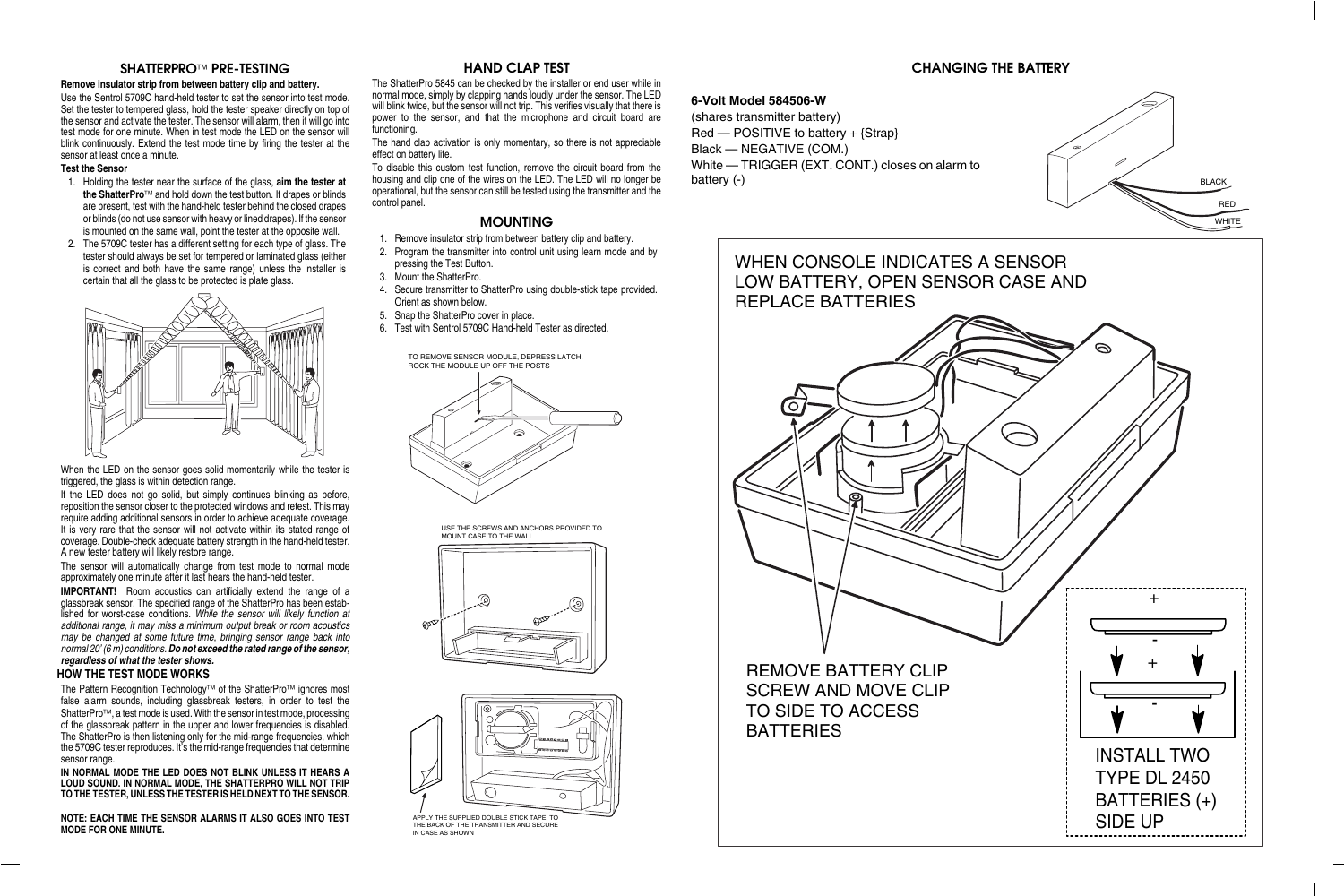# **SHATTERPRO<sup>TM</sup> PRE-TESTING**

#### **Remove insulator strip from between battery clip and battery.**

Use the Sentrol 5709C hand-held tester to set the sensor into test mode.Set the tester to tempered glass, hold the tester speaker directly on top of the sensor and activate the tester. The sensor will alarm, then it will go into test mode for one minute. When in test mode the LED on the sensor will blink continuously. Extend the test mode time by firing the tester at the sensor at least once a minute.

#### **Test the Sensor**

- 1. Holding the tester near the surface of the glass, **aim the tester at** the ShatterPro<sup>™</sup> and hold down the test button. If drapes or blinds are present, test with the hand-held tester behind the closed drapes or blinds (do not use sensor with heavy or lined drapes). If the sensor is mounted on the same wall, point the tester at the opposite wall.
- 2. The 5709C tester has a different setting for each type of glass. The tester should always be set for tempered or laminated glass (either is correct and both have the same range) unless the installer is certain that all the glass to be protected is plate glass.



**IMPORTANT!** Room acoustics can artificially extend the range of a glassbreak sensor. The specified range of the ShatterPro has been established for worst-case conditions. While the sensor will likely function at additional range, it may miss a minimum output break or room acoustics may be changed at some future time, bringing sensor range back into normal 20' (6 m) conditions. **Do not exceed the rated range of the sensor, regardless of what the tester shows.**

When the LED on the sensor goes solid momentarily while the tester is triggered, the glass is within detection range.

The Pattern Recognition Technology™ of the ShatterPro™ ignores most false alarm sounds, including glassbreak testers, in order to test the ShatterPro™, a test mode is used. With the sensor in test mode, processing of the glassbreak pattern in the upper and lower frequencies is disabled. The ShatterPro is then listening only for the mid-range frequencies, which the 5709C tester reproduces. It's the mid-range frequencies that determine sensor range.

If the LED does not go solid, but simply continues blinking as before, reposition the sensor closer to the protected windows and retest. This may require adding additional sensors in order to achieve adequate coverage. It is very rare that the sensor will not activate within its stated range of coverage. Double-check adequate battery strength in the hand-held tester. A new tester battery will likely restore range.

The hand clap activation is only momentary, so there is not appreciable effect on battery life.

The sensor will automatically change from test mode to normal mode approximately one minute after it last hears the hand-held tester.

### **HOW THE TEST MODE WORKS**

**IN NORMAL MODE THE LED DOES NOT BLINK UNLESS IT HEARS A LOUD SOUND. IN NORMAL MODE, THE SHATTERPRO WILL NOT TRIP TO THE TESTER, UNLESS THE TESTER IS HELD NEXT TO THE SENSOR.**

**NOTE: EACH TIME THE SENSOR ALARMS IT ALSO GOES INTO TESTMODE FOR ONE MINUTE.**

# **HAND CLAP TEST**

The ShatterPro 5845 can be checked by the installer or end user while in normal mode, simply by clapping hands loudly under the sensor. The LED will blink twice, but the sensor will not trip. This verifies visually that there is power to the sensor, and that the microphone and circuit board are functioning.

To disable this custom test function, remove the circuit board from the housing and clip one of the wires on the LED. The LED will no longer be operational, but the sensor can still be tested using the transmitter and the control panel.

# **MOUNTING**

- 1. Remove insulator strip from between battery clip and battery.
- 2. Program the transmitter into control unit using learn mode and by pressing the Test Button.
- 3. Mount the ShatterPro.
- 4. Secure transmitter to ShatterPro using double-stick tape provided. Orient as shown below.
- 5. Snap the ShatterPro cover in place.
- 6. Test with Sentrol 5709C Hand-held Tester as directed.

### **6-Volt Model 584506-W**

(shares transmitter battery) Red — POSITIVE to battery + {Strap} Black — NEGATIVE (COM.) White — TRIGGER (EXT. CONT.) closes on alarm to battery (-)

# **CHANGING THE BATTERY**



USE THE SCREWS AND ANCHORS PROVIDED TO MOUNT CASE TO THE WALL





APPLY THE SUPPLIED DOUBLE STICK TAPE TO THE BACK OF THE TRANSMITTER AND SECURE IN CASE AS SHOWN